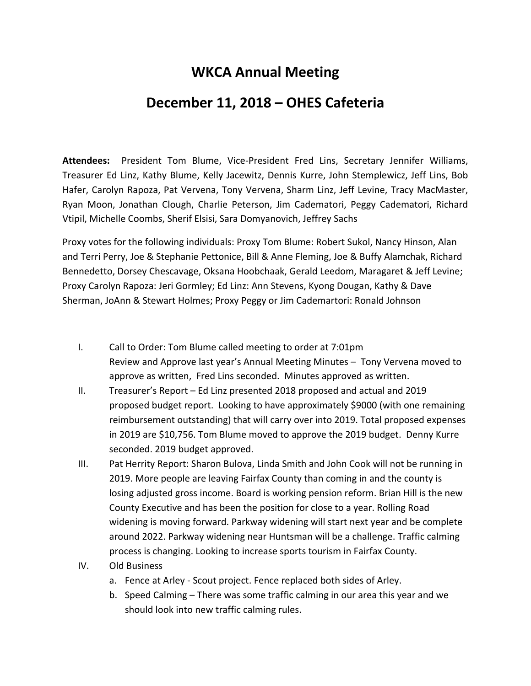## **WKCA Annual Meeting**

## **December 11, 2018 – OHES Cafeteria**

**Attendees:** President Tom Blume, Vice-President Fred Lins, Secretary Jennifer Williams, Treasurer Ed Linz, Kathy Blume, Kelly Jacewitz, Dennis Kurre, John Stemplewicz, Jeff Lins, Bob Hafer, Carolyn Rapoza, Pat Vervena, Tony Vervena, Sharm Linz, Jeff Levine, Tracy MacMaster, Ryan Moon, Jonathan Clough, Charlie Peterson, Jim Cadematori, Peggy Cadematori, Richard Vtipil, Michelle Coombs, Sherif Elsisi, Sara Domyanovich, Jeffrey Sachs

Proxy votes for the following individuals: Proxy Tom Blume: Robert Sukol, Nancy Hinson, Alan and Terri Perry, Joe & Stephanie Pettonice, Bill & Anne Fleming, Joe & Buffy Alamchak, Richard Bennedetto, Dorsey Chescavage, Oksana Hoobchaak, Gerald Leedom, Maragaret & Jeff Levine; Proxy Carolyn Rapoza: Jeri Gormley; Ed Linz: Ann Stevens, Kyong Dougan, Kathy & Dave Sherman, JoAnn & Stewart Holmes; Proxy Peggy or Jim Cademartori: Ronald Johnson

- I. Call to Order: Tom Blume called meeting to order at 7:01pm Review and Approve last year's Annual Meeting Minutes – Tony Vervena moved to approve as written, Fred Lins seconded. Minutes approved as written.
- II. Treasurer's Report Ed Linz presented 2018 proposed and actual and 2019 proposed budget report. Looking to have approximately \$9000 (with one remaining reimbursement outstanding) that will carry over into 2019. Total proposed expenses in 2019 are \$10,756. Tom Blume moved to approve the 2019 budget. Denny Kurre seconded. 2019 budget approved.
- III. Pat Herrity Report: Sharon Bulova, Linda Smith and John Cook will not be running in 2019. More people are leaving Fairfax County than coming in and the county is losing adjusted gross income. Board is working pension reform. Brian Hill is the new County Executive and has been the position for close to a year. Rolling Road widening is moving forward. Parkway widening will start next year and be complete around 2022. Parkway widening near Huntsman will be a challenge. Traffic calming process is changing. Looking to increase sports tourism in Fairfax County.
- IV. Old Business
	- a. Fence at Arley Scout project. Fence replaced both sides of Arley.
	- b. Speed Calming There was some traffic calming in our area this year and we should look into new traffic calming rules.